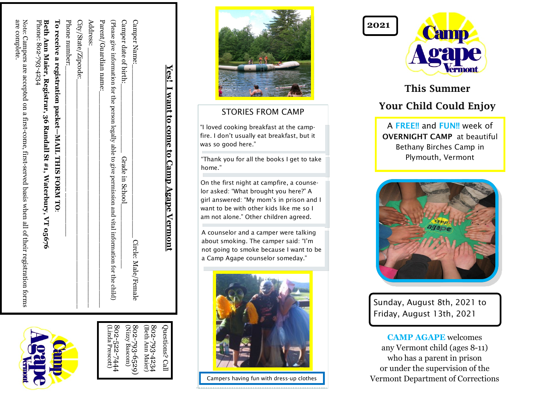| Phone: 802-793-4234<br>Beth Ann Maier, Registrar, 36 Randall St #1, Waterbury, VT 05676             |
|-----------------------------------------------------------------------------------------------------|
| Note: Campes are accorded on a first-come, first-served passis when all of their registration forms |
| are complete.                                                                                       |

**To receive a registration packet**

Phone number:<br>Phone number:

Parent/Guardian name:\_\_\_\_\_\_\_\_\_\_\_\_\_\_\_\_\_\_\_\_\_\_\_\_\_\_\_\_\_\_\_\_\_\_\_\_\_\_\_\_\_\_\_\_\_\_\_\_\_\_ (Please give information for the person legally able to give permission and vital information for the child)

Camper Name:\_\_\_\_\_\_\_\_\_\_\_\_\_\_\_\_\_\_\_\_\_\_\_\_\_\_\_\_\_\_\_\_\_\_\_\_\_\_\_\_ Circle: Male/Female **—MAIL THIS FORM TO**:

Camper date of birth:\_\_\_\_\_\_\_\_\_\_\_\_\_\_\_\_ Grade in School\_\_\_\_\_\_\_\_\_\_\_\_\_\_\_

City/State/Zipcode:\_\_\_\_\_\_\_\_\_\_\_\_\_\_\_\_\_\_\_\_\_\_\_\_\_\_\_\_\_\_\_\_\_\_\_\_\_\_\_\_\_\_\_\_\_\_\_\_\_\_\_\_\_  $Address:$ 

| n<br>N<br>Nizzy Bascom,<br>93-0559) |
|-------------------------------------|
|                                     |

 $\alpha$ 

# **Yes!** <u>I want to come to Camp Agape Vermont</u> **I want to come to Camp Agape Vermont**



## STORIES FROM CAMP

"I loved cooking breakfast at the campfire. I don't usually eat breakfast, but it was so good here."

"Thank you for all the books I get to take home."

On the first night at campfire, a counselor asked: "What brought you here?" A girl answered: "My mom's in prison and I want to be with other kids like me so I am not alone." Other children agreed.

A counselor and a camper were talking about smoking. The camper said: "I'm not going to smoke because I want to be a Camp Agape counselor someday."



**2021**



# This Summer Your Child Could Enjoy

A FREE!! and FUN!! week of OVERNIGHT CAMP at beautiful Bethany Birches Camp in Plymouth, Vermont



Sunday, August 8th, 2021 to Friday, August 13th, 2021

**CAMP AGAPE** welcomes any Vermont child (ages 8 -11) who has a parent in prison or under the supervision of the Vermont Department of Corrections